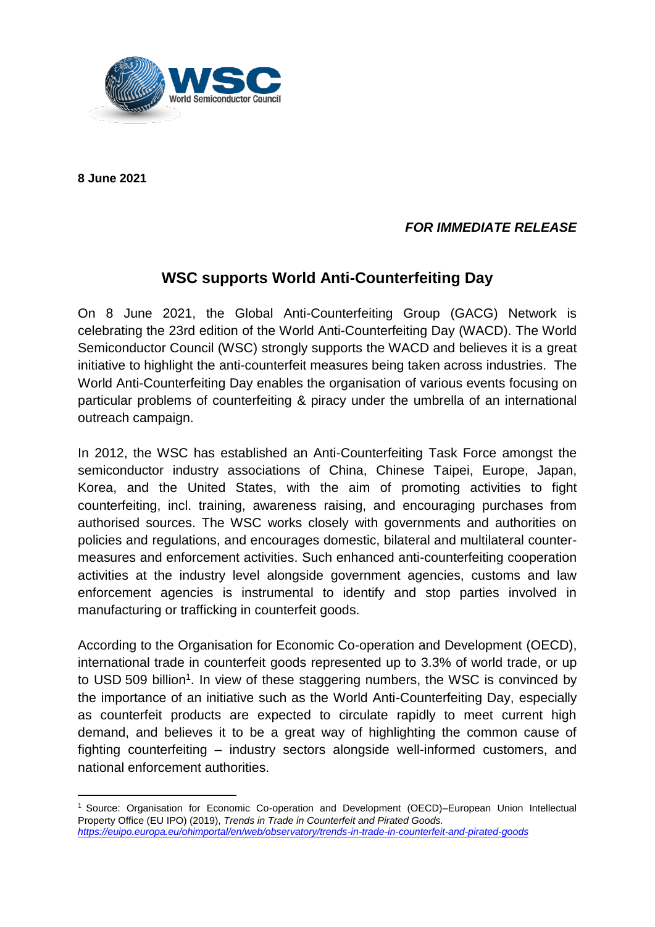

**8 June 2021**

**.** 

## *FOR IMMEDIATE RELEASE*

## **WSC supports World Anti-Counterfeiting Day**

On 8 June 2021, the Global Anti-Counterfeiting Group (GACG) Network is celebrating the 23rd edition of the World Anti-Counterfeiting Day (WACD). The World Semiconductor Council (WSC) strongly supports the WACD and believes it is a great initiative to highlight the anti-counterfeit measures being taken across industries. The World Anti-Counterfeiting Day enables the organisation of various events focusing on particular problems of counterfeiting & piracy under the umbrella of an international outreach campaign.

In 2012, the WSC has established an Anti-Counterfeiting Task Force amongst the semiconductor industry associations of China, Chinese Taipei, Europe, Japan, Korea, and the United States, with the aim of promoting activities to fight counterfeiting, incl. training, awareness raising, and encouraging purchases from authorised sources. The WSC works closely with governments and authorities on policies and regulations, and encourages domestic, bilateral and multilateral countermeasures and enforcement activities. Such enhanced anti-counterfeiting cooperation activities at the industry level alongside government agencies, customs and law enforcement agencies is instrumental to identify and stop parties involved in manufacturing or trafficking in counterfeit goods.

According to the Organisation for Economic Co-operation and Development (OECD), international trade in counterfeit goods represented up to 3.3% of world trade, or up to USD 509 billion<sup>1</sup>. In view of these staggering numbers, the WSC is convinced by the importance of an initiative such as the World Anti-Counterfeiting Day, especially as counterfeit products are expected to circulate rapidly to meet current high demand, and believes it to be a great way of highlighting the common cause of fighting counterfeiting – industry sectors alongside well-informed customers, and national enforcement authorities.

<sup>&</sup>lt;sup>1</sup> Source: Organisation for Economic Co-operation and Development (OECD)–European Union Intellectual Property Office (EU IPO) (2019), *Trends in Trade in Counterfeit and Pirated Goods. <https://euipo.europa.eu/ohimportal/en/web/observatory/trends-in-trade-in-counterfeit-and-pirated-goods>*